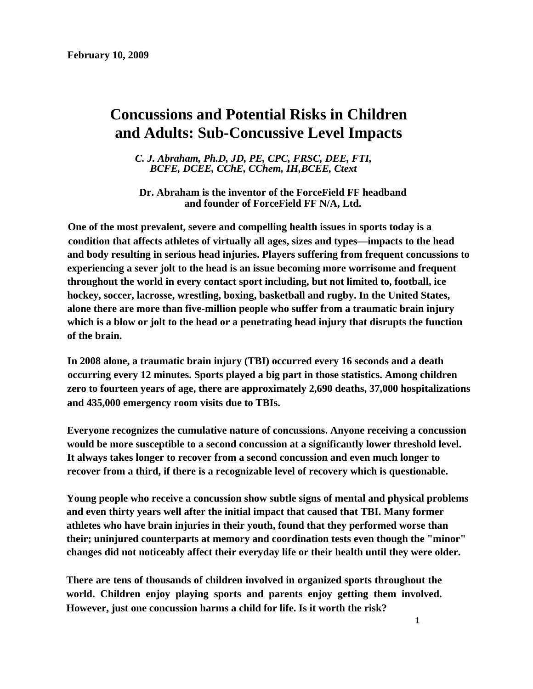# **Concussions and Potential Risks in Children and Adults: Sub-Concussive Level Impacts**

*C. J. Abraham, Ph.D, JD, PE, CPC, FRSC, DEE, FTI, BCFE, DCEE, CChE, CChem, IH,BCEE, Ctext* 

**Dr. Abraham is the inventor of the ForceField FF headband and founder of ForceField FF N/A, Ltd.** 

**One of the most prevalent, severe and compelling health issues in sports today is a condition that affects athletes of virtually all ages, sizes and types—impacts to the head and body resulting in serious head injuries. Players suffering from frequent concussions to experiencing a sever jolt to the head is an issue becoming more worrisome and frequent throughout the world in every contact sport including, but not limited to, football, ice hockey, soccer, lacrosse, wrestling, boxing, basketball and rugby. In the United States, alone there are more than five-million people who suffer from a traumatic brain injury which is a blow or jolt to the head or a penetrating head injury that disrupts the function of the brain.** 

**In 2008 alone, a traumatic brain injury (TBI) occurred every 16 seconds and a death occurring every 12 minutes. Sports played a big part in those statistics. Among children zero to fourteen years of age, there are approximately 2,690 deaths, 37,000 hospitalizations and 435,000 emergency room visits due to TBIs.** 

**Everyone recognizes the cumulative nature of concussions. Anyone receiving a concussion would be more susceptible to a second concussion at a significantly lower threshold level. It always takes longer to recover from a second concussion and even much longer to recover from a third, if there is a recognizable level of recovery which is questionable.** 

**Young people who receive a concussion show subtle signs of mental and physical problems and even thirty years well after the initial impact that caused that TBI. Many former athletes who have brain injuries in their youth, found that they performed worse than their; uninjured counterparts at memory and coordination tests even though the "minor" changes did not noticeably affect their everyday life or their health until they were older.** 

**There are tens of thousands of children involved in organized sports throughout the world. Children enjoy playing sports and parents enjoy getting them involved. However, just one concussion harms a child for life. Is it worth the risk?**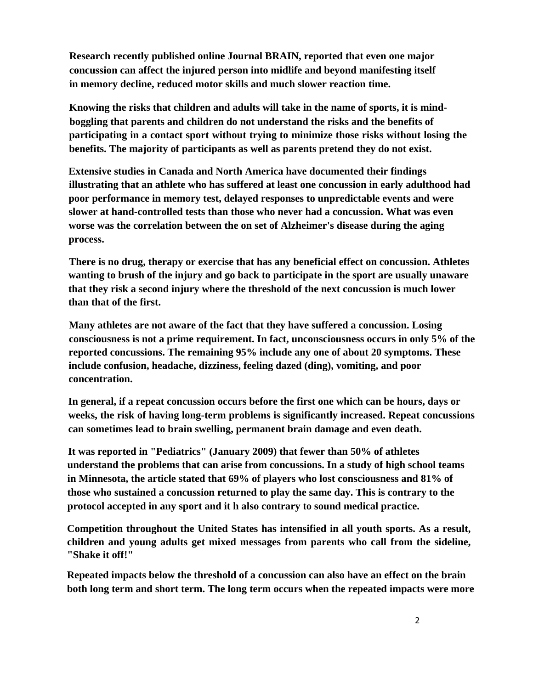**Research recently published online Journal BRAIN, reported that even one major concussion can affect the injured person into midlife and beyond manifesting itself in memory decline, reduced motor skills and much slower reaction time.** 

**Knowing the risks that children and adults will take in the name of sports, it is mindboggling that parents and children do not understand the risks and the benefits of participating in a contact sport without trying to minimize those risks without losing the benefits. The majority of participants as well as parents pretend they do not exist.** 

**Extensive studies in Canada and North America have documented their findings illustrating that an athlete who has suffered at least one concussion in early adulthood had poor performance in memory test, delayed responses to unpredictable events and were slower at hand-controlled tests than those who never had a concussion. What was even worse was the correlation between the on set of Alzheimer's disease during the aging process.** 

**There is no drug, therapy or exercise that has any beneficial effect on concussion. Athletes wanting to brush of the injury and go back to participate in the sport are usually unaware that they risk a second injury where the threshold of the next concussion is much lower than that of the first.** 

**Many athletes are not aware of the fact that they have suffered a concussion. Losing consciousness is not a prime requirement. In fact, unconsciousness occurs in only 5% of the reported concussions. The remaining 95% include any one of about 20 symptoms. These include confusion, headache, dizziness, feeling dazed (ding), vomiting, and poor concentration.** 

**In general, if a repeat concussion occurs before the first one which can be hours, days or weeks, the risk of having long-term problems is significantly increased. Repeat concussions can sometimes lead to brain swelling, permanent brain damage and even death.** 

**It was reported in "Pediatrics" (January 2009) that fewer than 50% of athletes understand the problems that can arise from concussions. In a study of high school teams in Minnesota, the article stated that 69% of players who lost consciousness and 81% of those who sustained a concussion returned to play the same day. This is contrary to the protocol accepted in any sport and it h also contrary to sound medical practice.** 

**Competition throughout the United States has intensified in all youth sports. As a result, children and young adults get mixed messages from parents who call from the sideline, "Shake it off!"** 

**Repeated impacts below the threshold of a concussion can also have an effect on the brain both long term and short term. The long term occurs when the repeated impacts were more**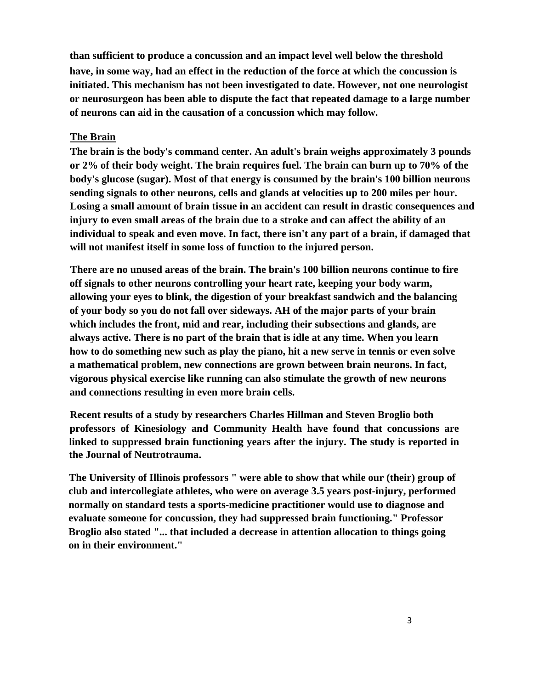**than sufficient to produce a concussion and an impact level well below the threshold have, in some way, had an effect in the reduction of the force at which the concussion is initiated. This mechanism has not been investigated to date. However, not one neurologist or neurosurgeon has been able to dispute the fact that repeated damage to a large number of neurons can aid in the causation of a concussion which may follow.** 

#### **The Brain**

**The brain is the body's command center. An adult's brain weighs approximately 3 pounds or 2% of their body weight. The brain requires fuel. The brain can burn up to 70% of the body's glucose (sugar). Most of that energy is consumed by the brain's 100 billion neurons sending signals to other neurons, cells and glands at velocities up to 200 miles per hour. Losing a small amount of brain tissue in an accident can result in drastic consequences and injury to even small areas of the brain due to a stroke and can affect the ability of an individual to speak and even move. In fact, there isn't any part of a brain, if damaged that will not manifest itself in some loss of function to the injured person.** 

**There are no unused areas of the brain. The brain's 100 billion neurons continue to fire off signals to other neurons controlling your heart rate, keeping your body warm, allowing your eyes to blink, the digestion of your breakfast sandwich and the balancing of your body so you do not fall over sideways. AH of the major parts of your brain which includes the front, mid and rear, including their subsections and glands, are always active. There is no part of the brain that is idle at any time. When you learn how to do something new such as play the piano, hit a new serve in tennis or even solve a mathematical problem, new connections are grown between brain neurons. In fact, vigorous physical exercise like running can also stimulate the growth of new neurons and connections resulting in even more brain cells.** 

**Recent results of a study by researchers Charles Hillman and Steven Broglio both professors of Kinesiology and Community Health have found that concussions are linked to suppressed brain functioning years after the injury. The study is reported in the Journal of Neutrotrauma.** 

**The University of Illinois professors " were able to show that while our (their) group of club and intercollegiate athletes, who were on average 3.5 years post-injury, performed normally on standard tests a sports-medicine practitioner would use to diagnose and evaluate someone for concussion, they had suppressed brain functioning." Professor Broglio also stated "... that included a decrease in attention allocation to things going on in their environment."**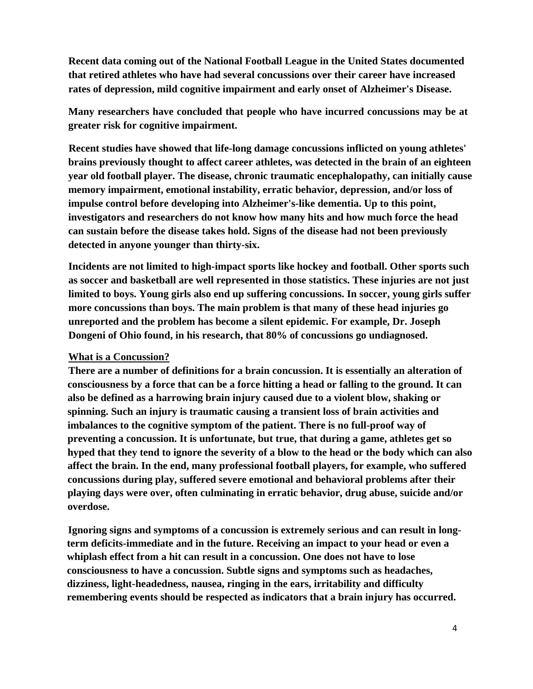**Recent data coming out of the National Football League in the United States documented that retired athletes who have had several concussions over their career have increased rates of depression, mild cognitive impairment and early onset of Alzheimer's Disease.** 

**Many researchers have concluded that people who have incurred concussions may be at greater risk for cognitive impairment.** 

**Recent studies have showed that life-long damage concussions inflicted on young athletes' brains previously thought to affect career athletes, was detected in the brain of an eighteen year old football player. The disease, chronic traumatic encephalopathy, can initially cause memory impairment, emotional instability, erratic behavior, depression, and/or loss of impulse control before developing into Alzheimer's-like dementia. Up to this point, investigators and researchers do not know how many hits and how much force the head can sustain before the disease takes hold. Signs of the disease had not been previously detected in anyone younger than thirty-six.** 

**Incidents are not limited to high-impact sports like hockey and football. Other sports such as soccer and basketball are well represented in those statistics. These injuries are not just limited to boys. Young girls also end up suffering concussions. In soccer, young girls suffer more concussions than boys. The main problem is that many of these head injuries go unreported and the problem has become a silent epidemic. For example, Dr. Joseph Dongeni of Ohio found, in his research, that 80% of concussions go undiagnosed.** 

# **What is a Concussion?**

**There are a number of definitions for a brain concussion. It is essentially an alteration of consciousness by a force that can be a force hitting a head or falling to the ground. It can also be defined as a harrowing brain injury caused due to a violent blow, shaking or spinning. Such an injury is traumatic causing a transient loss of brain activities and imbalances to the cognitive symptom of the patient. There is no full-proof way of preventing a concussion. It is unfortunate, but true, that during a game, athletes get so hyped that they tend to ignore the severity of a blow to the head or the body which can also affect the brain. In the end, many professional football players, for example, who suffered concussions during play, suffered severe emotional and behavioral problems after their playing days were over, often culminating in erratic behavior, drug abuse, suicide and/or overdose.** 

**Ignoring signs and symptoms of a concussion is extremely serious and can result in longterm deficits-immediate and in the future. Receiving an impact to your head or even a whiplash effect from a hit can result in a concussion. One does not have to lose consciousness to have a concussion. Subtle signs and symptoms such as headaches, dizziness, light-headedness, nausea, ringing in the ears, irritability and difficulty remembering events should be respected as indicators that a brain injury has occurred.**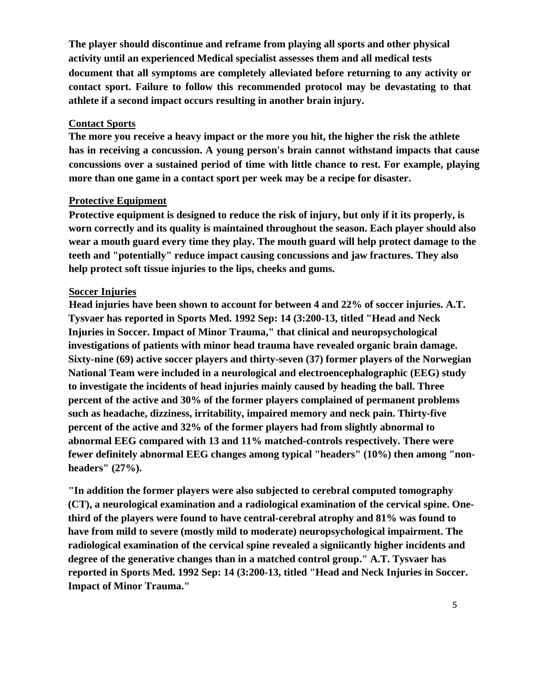**The player should discontinue and reframe from playing all sports and other physical activity until an experienced Medical specialist assesses them and all medical tests document that all symptoms are completely alleviated before returning to any activity or contact sport. Failure to follow this recommended protocol may be devastating to that athlete if a second impact occurs resulting in another brain injury.** 

#### **Contact Sports**

**The more you receive a heavy impact or the more you hit, the higher the risk the athlete has in receiving a concussion. A young person's brain cannot withstand impacts that cause concussions over a sustained period of time with little chance to rest. For example, playing more than one game in a contact sport per week may be a recipe for disaster.** 

### **Protective Equipment**

**Protective equipment is designed to reduce the risk of injury, but only if it its properly, is worn correctly and its quality is maintained throughout the season. Each player should also wear a mouth guard every time they play. The mouth guard will help protect damage to the teeth and "potentially" reduce impact causing concussions and jaw fractures. They also help protect soft tissue injuries to the lips, cheeks and gums.** 

### **Soccer Injuries**

**Head injuries have been shown to account for between 4 and 22% of soccer injuries. A.T. Tysvaer has reported in Sports Med. 1992 Sep: 14 (3:200-13, titled "Head and Neck Injuries in Soccer. Impact of Minor Trauma," that clinical and neuropsychological investigations of patients with minor head trauma have revealed organic brain damage. Sixty-nine (69) active soccer players and thirty-seven (37) former players of the Norwegian National Team were included in a neurological and electroencephalographic (EEG) study to investigate the incidents of head injuries mainly caused by heading the ball. Three percent of the active and 30% of the former players complained of permanent problems such as headache, dizziness, irritability, impaired memory and neck pain. Thirty-five percent of the active and 32% of the former players had from slightly abnormal to abnormal EEG compared with 13 and 11% matched-controls respectively. There were fewer definitely abnormal EEG changes among typical "headers" (10%) then among "nonheaders" (27%).** 

**"In addition the former players were also subjected to cerebral computed tomography (CT), a neurological examination and a radiological examination of the cervical spine. Onethird of the players were found to have central-cerebral atrophy and 81% was found to have from mild to severe (mostly mild to moderate) neuropsychological impairment. The radiological examination of the cervical spine revealed a signiicantly higher incidents and degree of the generative changes than in a matched control group." A.T. Tysvaer has reported in Sports Med. 1992 Sep: 14 (3:200-13, titled "Head and Neck Injuries in Soccer. Impact of Minor Trauma."**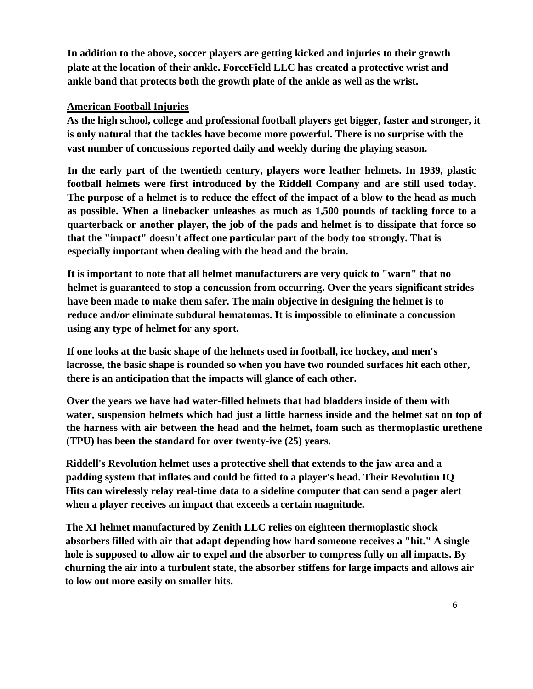**In addition to the above, soccer players are getting kicked and injuries to their growth plate at the location of their ankle. ForceField LLC has created a protective wrist and ankle band that protects both the growth plate of the ankle as well as the wrist.** 

## **American Football Injuries**

**As the high school, college and professional football players get bigger, faster and stronger, it is only natural that the tackles have become more powerful. There is no surprise with the vast number of concussions reported daily and weekly during the playing season.** 

**In the early part of the twentieth century, players wore leather helmets. In 1939, plastic football helmets were first introduced by the Riddell Company and are still used today. The purpose of a helmet is to reduce the effect of the impact of a blow to the head as much as possible. When a linebacker unleashes as much as 1,500 pounds of tackling force to a quarterback or another player, the job of the pads and helmet is to dissipate that force so that the "impact" doesn't affect one particular part of the body too strongly. That is especially important when dealing with the head and the brain.** 

**It is important to note that all helmet manufacturers are very quick to "warn" that no helmet is guaranteed to stop a concussion from occurring. Over the years significant strides have been made to make them safer. The main objective in designing the helmet is to reduce and/or eliminate subdural hematomas. It is impossible to eliminate a concussion using any type of helmet for any sport.** 

**If one looks at the basic shape of the helmets used in football, ice hockey, and men's lacrosse, the basic shape is rounded so when you have two rounded surfaces hit each other, there is an anticipation that the impacts will glance of each other.** 

**Over the years we have had water-filled helmets that had bladders inside of them with water, suspension helmets which had just a little harness inside and the helmet sat on top of the harness with air between the head and the helmet, foam such as thermoplastic urethene (TPU) has been the standard for over twenty-ive (25) years.** 

**Riddell's Revolution helmet uses a protective shell that extends to the jaw area and a padding system that inflates and could be fitted to a player's head. Their Revolution IQ Hits can wirelessly relay real-time data to a sideline computer that can send a pager alert when a player receives an impact that exceeds a certain magnitude.** 

**The XI helmet manufactured by Zenith LLC relies on eighteen thermoplastic shock absorbers filled with air that adapt depending how hard someone receives a "hit." A single hole is supposed to allow air to expel and the absorber to compress fully on all impacts. By churning the air into a turbulent state, the absorber stiffens for large impacts and allows air to low out more easily on smaller hits.**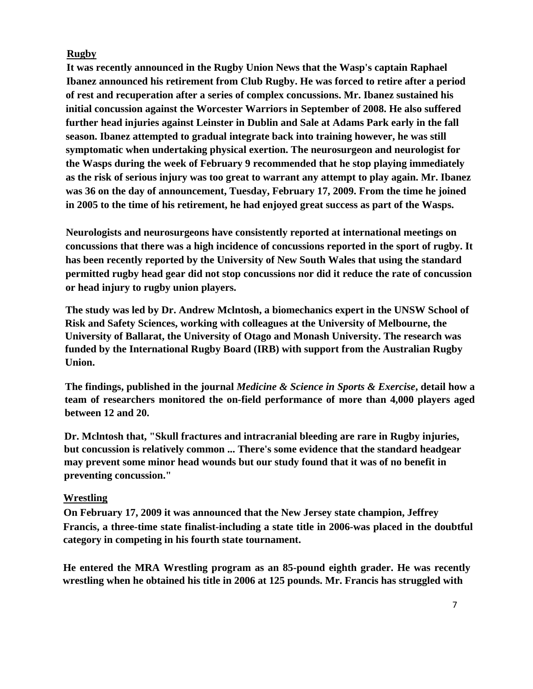## **Rugby**

**It was recently announced in the Rugby Union News that the Wasp's captain Raphael Ibanez announced his retirement from Club Rugby. He was forced to retire after a period of rest and recuperation after a series of complex concussions. Mr. Ibanez sustained his initial concussion against the Worcester Warriors in September of 2008. He also suffered further head injuries against Leinster in Dublin and Sale at Adams Park early in the fall season. Ibanez attempted to gradual integrate back into training however, he was still symptomatic when undertaking physical exertion. The neurosurgeon and neurologist for the Wasps during the week of February 9 recommended that he stop playing immediately as the risk of serious injury was too great to warrant any attempt to play again. Mr. Ibanez was 36 on the day of announcement, Tuesday, February 17, 2009. From the time he joined in 2005 to the time of his retirement, he had enjoyed great success as part of the Wasps.** 

**Neurologists and neurosurgeons have consistently reported at international meetings on concussions that there was a high incidence of concussions reported in the sport of rugby. It has been recently reported by the University of New South Wales that using the standard permitted rugby head gear did not stop concussions nor did it reduce the rate of concussion or head injury to rugby union players.** 

**The study was led by Dr. Andrew Mclntosh, a biomechanics expert in the UNSW School of Risk and Safety Sciences, working with colleagues at the University of Melbourne, the University of Ballarat, the University of Otago and Monash University. The research was funded by the International Rugby Board (IRB) with support from the Australian Rugby Union.** 

**The findings, published in the journal** *Medicine & Science in Sports & Exercise***, detail how a team of researchers monitored the on-field performance of more than 4,000 players aged between 12 and 20.** 

**Dr. Mclntosh that, "Skull fractures and intracranial bleeding are rare in Rugby injuries, but concussion is relatively common ... There's some evidence that the standard headgear may prevent some minor head wounds but our study found that it was of no benefit in preventing concussion."** 

# **Wrestling**

**On February 17, 2009 it was announced that the New Jersey state champion, Jeffrey Francis, a three-time state finalist-including a state title in 2006-was placed in the doubtful category in competing in his fourth state tournament.** 

**He entered the MRA Wrestling program as an 85-pound eighth grader. He was recently wrestling when he obtained his title in 2006 at 125 pounds. Mr. Francis has struggled with**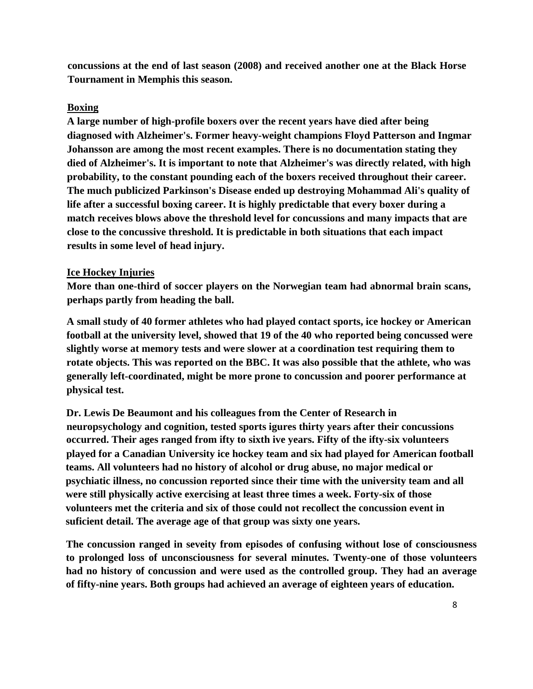**concussions at the end of last season (2008) and received another one at the Black Horse Tournament in Memphis this season.** 

#### **Boxing**

**A large number of high-profile boxers over the recent years have died after being diagnosed with Alzheimer's. Former heavy-weight champions Floyd Patterson and Ingmar Johansson are among the most recent examples. There is no documentation stating they died of Alzheimer's. It is important to note that Alzheimer's was directly related, with high probability, to the constant pounding each of the boxers received throughout their career. The much publicized Parkinson's Disease ended up destroying Mohammad Ali's quality of life after a successful boxing career. It is highly predictable that every boxer during a match receives blows above the threshold level for concussions and many impacts that are close to the concussive threshold. It is predictable in both situations that each impact results in some level of head injury.** 

#### **Ice Hockey Injuries**

**More than one-third of soccer players on the Norwegian team had abnormal brain scans, perhaps partly from heading the ball.** 

**A small study of 40 former athletes who had played contact sports, ice hockey or American football at the university level, showed that 19 of the 40 who reported being concussed were slightly worse at memory tests and were slower at a coordination test requiring them to rotate objects. This was reported on the BBC. It was also possible that the athlete, who was generally left-coordinated, might be more prone to concussion and poorer performance at physical test.** 

**Dr. Lewis De Beaumont and his colleagues from the Center of Research in neuropsychology and cognition, tested sports igures thirty years after their concussions occurred. Their ages ranged from ifty to sixth ive years. Fifty of the ifty-six volunteers played for a Canadian University ice hockey team and six had played for American football teams. All volunteers had no history of alcohol or drug abuse, no major medical or psychiatic illness, no concussion reported since their time with the university team and all were still physically active exercising at least three times a week. Forty-six of those volunteers met the criteria and six of those could not recollect the concussion event in suficient detail. The average age of that group was sixty one years.** 

**The concussion ranged in seveity from episodes of confusing without lose of consciousness to prolonged loss of unconsciousness for several minutes. Twenty-one of those volunteers had no history of concussion and were used as the controlled group. They had an average of fifty-nine years. Both groups had achieved an average of eighteen years of education.**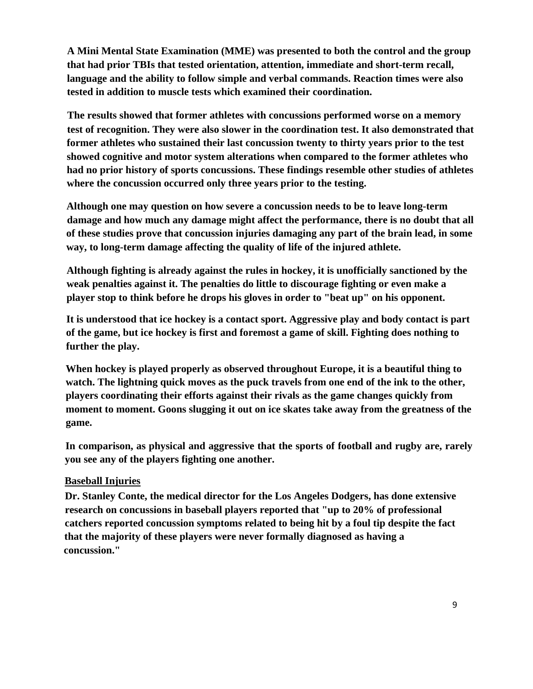**A Mini Mental State Examination (MME) was presented to both the control and the group that had prior TBIs that tested orientation, attention, immediate and short-term recall, language and the ability to follow simple and verbal commands. Reaction times were also tested in addition to muscle tests which examined their coordination.** 

**The results showed that former athletes with concussions performed worse on a memory test of recognition. They were also slower in the coordination test. It also demonstrated that former athletes who sustained their last concussion twenty to thirty years prior to the test showed cognitive and motor system alterations when compared to the former athletes who had no prior history of sports concussions. These findings resemble other studies of athletes where the concussion occurred only three years prior to the testing.** 

**Although one may question on how severe a concussion needs to be to leave long-term damage and how much any damage might affect the performance, there is no doubt that all of these studies prove that concussion injuries damaging any part of the brain lead, in some way, to long-term damage affecting the quality of life of the injured athlete.** 

**Although fighting is already against the rules in hockey, it is unofficially sanctioned by the weak penalties against it. The penalties do little to discourage fighting or even make a player stop to think before he drops his gloves in order to "beat up" on his opponent.** 

**It is understood that ice hockey is a contact sport. Aggressive play and body contact is part of the game, but ice hockey is first and foremost a game of skill. Fighting does nothing to further the play.** 

**When hockey is played properly as observed throughout Europe, it is a beautiful thing to watch. The lightning quick moves as the puck travels from one end of the ink to the other, players coordinating their efforts against their rivals as the game changes quickly from moment to moment. Goons slugging it out on ice skates take away from the greatness of the game.** 

**In comparison, as physical and aggressive that the sports of football and rugby are, rarely you see any of the players fighting one another.** 

# **Baseball Injuries**

**Dr. Stanley Conte, the medical director for the Los Angeles Dodgers, has done extensive research on concussions in baseball players reported that "up to 20% of professional catchers reported concussion symptoms related to being hit by a foul tip despite the fact that the majority of these players were never formally diagnosed as having a concussion."**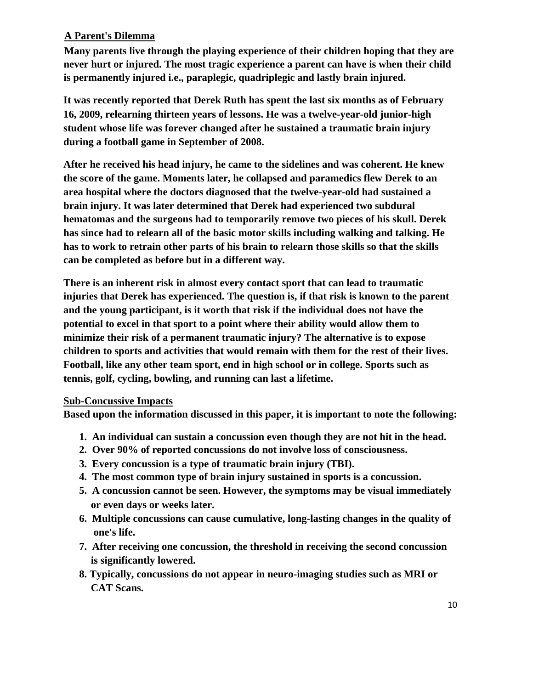# **A Parent's Dilemma**

**Many parents live through the playing experience of their children hoping that they are never hurt or injured. The most tragic experience a parent can have is when their child is permanently injured i.e., paraplegic, quadriplegic and lastly brain injured.** 

**It was recently reported that Derek Ruth has spent the last six months as of February 16, 2009, relearning thirteen years of lessons. He was a twelve-year-old junior-high student whose life was forever changed after he sustained a traumatic brain injury during a football game in September of 2008.** 

**After he received his head injury, he came to the sidelines and was coherent. He knew the score of the game. Moments later, he collapsed and paramedics flew Derek to an area hospital where the doctors diagnosed that the twelve-year-old had sustained a brain injury. It was later determined that Derek had experienced two subdural hematomas and the surgeons had to temporarily remove two pieces of his skull. Derek has since had to relearn all of the basic motor skills including walking and talking. He has to work to retrain other parts of his brain to relearn those skills so that the skills can be completed as before but in a different way.** 

**There is an inherent risk in almost every contact sport that can lead to traumatic injuries that Derek has experienced. The question is, if that risk is known to the parent and the young participant, is it worth that risk if the individual does not have the potential to excel in that sport to a point where their ability would allow them to minimize their risk of a permanent traumatic injury? The alternative is to expose children to sports and activities that would remain with them for the rest of their lives. Football, like any other team sport, end in high school or in college. Sports such as tennis, golf, cycling, bowling, and running can last a lifetime.** 

# **Sub-Concussive Impacts**

**Based upon the information discussed in this paper, it is important to note the following:** 

- **1. An individual can sustain a concussion even though they are not hit in the head.**
- **2. Over 90% of reported concussions do not involve loss of consciousness.**
- **3. Every concussion is a type of traumatic brain injury (TBI).**
- **4. The most common type of brain injury sustained in sports is a concussion.**
- **5. A concussion cannot be seen. However, the symptoms may be visual immediately or even days or weeks later.**
- **6. Multiple concussions can cause cumulative, long-lasting changes in the quality of one's life.**
- **7. After receiving one concussion, the threshold in receiving the second concussion is significantly lowered.**
- **8. Typically, concussions do not appear in neuro-imaging studies such as MRI or CAT Scans.**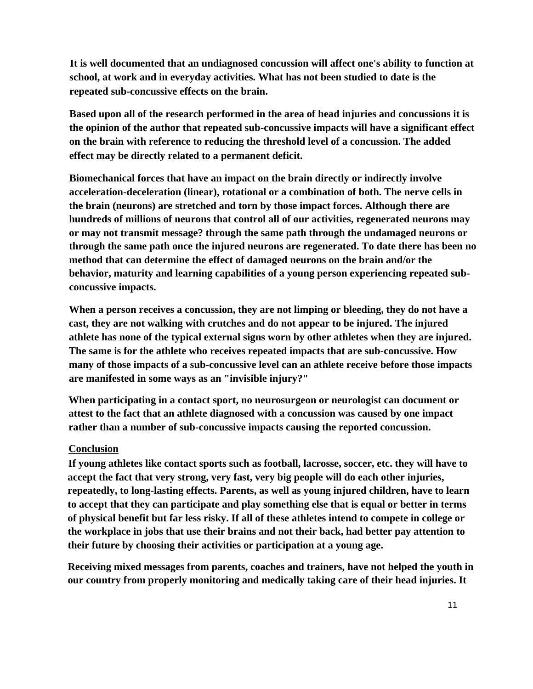**It is well documented that an undiagnosed concussion will affect one's ability to function at school, at work and in everyday activities. What has not been studied to date is the repeated sub-concussive effects on the brain.** 

**Based upon all of the research performed in the area of head injuries and concussions it is the opinion of the author that repeated sub-concussive impacts will have a significant effect on the brain with reference to reducing the threshold level of a concussion. The added effect may be directly related to a permanent deficit.** 

**Biomechanical forces that have an impact on the brain directly or indirectly involve acceleration-deceleration (linear), rotational or a combination of both. The nerve cells in the brain (neurons) are stretched and torn by those impact forces. Although there are hundreds of millions of neurons that control all of our activities, regenerated neurons may or may not transmit message? through the same path through the undamaged neurons or through the same path once the injured neurons are regenerated. To date there has been no method that can determine the effect of damaged neurons on the brain and/or the behavior, maturity and learning capabilities of a young person experiencing repeated subconcussive impacts.** 

**When a person receives a concussion, they are not limping or bleeding, they do not have a cast, they are not walking with crutches and do not appear to be injured. The injured athlete has none of the typical external signs worn by other athletes when they are injured. The same is for the athlete who receives repeated impacts that are sub-concussive. How many of those impacts of a sub-concussive level can an athlete receive before those impacts are manifested in some ways as an "invisible injury?"** 

**When participating in a contact sport, no neurosurgeon or neurologist can document or attest to the fact that an athlete diagnosed with a concussion was caused by one impact rather than a number of sub-concussive impacts causing the reported concussion.** 

# **Conclusion**

**If young athletes like contact sports such as football, lacrosse, soccer, etc. they will have to accept the fact that very strong, very fast, very big people will do each other injuries, repeatedly, to long-lasting effects. Parents, as well as young injured children, have to learn to accept that they can participate and play something else that is equal or better in terms of physical benefit but far less risky. If all of these athletes intend to compete in college or the workplace in jobs that use their brains and not their back, had better pay attention to their future by choosing their activities or participation at a young age.** 

**Receiving mixed messages from parents, coaches and trainers, have not helped the youth in our country from properly monitoring and medically taking care of their head injuries. It**